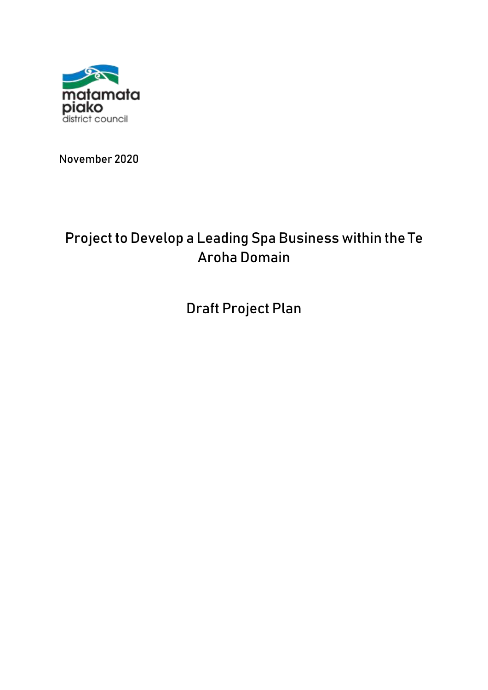

November 2020

# Project to Develop a Leading Spa Business within the Te Aroha Domain

Draft Project Plan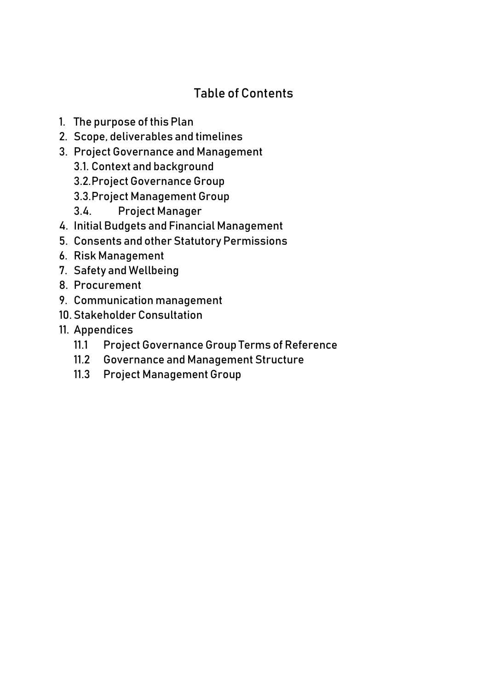# Table of Contents

- 1. The purpose of this Plan
- 2. Scope, deliverables and timelines
- 3. Project Governance and Management
	- 3.1. Context and background
	- 3.2.Project Governance Group
	- 3.3.Project Management Group
	- 3.4. Project Manager
- 4. Initial Budgets and Financial Management
- 5. Consents and other Statutory Permissions
- 6. Risk Management
- 7. Safety and Wellbeing
- 8. Procurement
- 9. Communication management
- 10. Stakeholder Consultation
- 11. Appendices
	- 11.1 Project Governance Group Terms of Reference
	- 11.2 Governance and Management Structure
	- 11.3 Project Management Group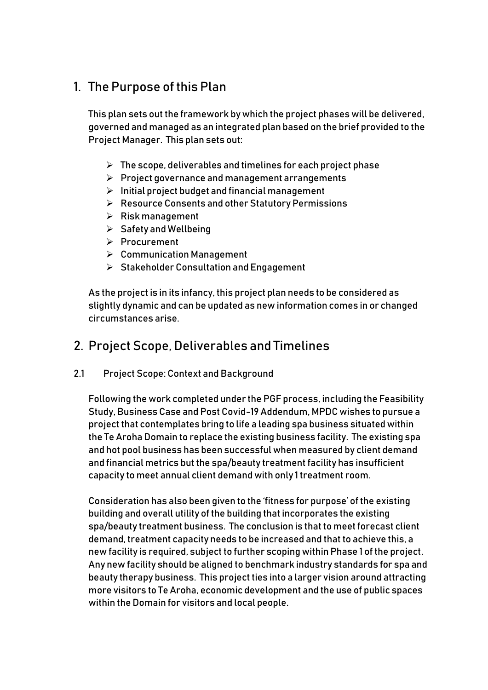# 1. The Purpose of this Plan

This plan sets out the framework by which the project phases will be delivered, governed and managed as an integrated plan based on the brief provided to the Project Manager. This plan sets out:

- $\triangleright$  The scope, deliverables and timelines for each project phase
- $\triangleright$  Project governance and management arrangements
- $\triangleright$  Initial project budget and financial management
- ▶ Resource Consents and other Statutory Permissions
- $\triangleright$  Risk management
- $\triangleright$  Safety and Wellbeing
- $\triangleright$  Procurement
- Communication Management
- $\triangleright$  Stakeholder Consultation and Engagement

As the project is in its infancy, this project plan needs to be considered as slightly dynamic and can be updated as new information comes in or changed circumstances arise.

# 2. Project Scope, Deliverables and Timelines

2.1 Project Scope: Context and Background

Following the work completed under the PGF process, including the Feasibility Study, Business Case and Post Covid-19 Addendum, MPDC wishes to pursue a project that contemplates bring to life a leading spa business situated within the Te Aroha Domain to replace the existing business facility. The existing spa and hot pool business has been successful when measured by client demand and financial metrics but the spa/beauty treatment facility has insufficient capacity to meet annual client demand with only 1 treatment room.

Consideration has also been given to the 'fitness for purpose' of the existing building and overall utility of the building that incorporates the existing spa/beauty treatment business. The conclusion is that to meet forecast client demand, treatment capacity needs to be increased and that to achieve this, a new facility is required, subject to further scoping within Phase 1 of the project. Any new facility should be aligned to benchmark industry standards for spa and beauty therapy business. This project ties into a larger vision around attracting more visitors to Te Aroha, economic development and the use of public spaces within the Domain for visitors and local people.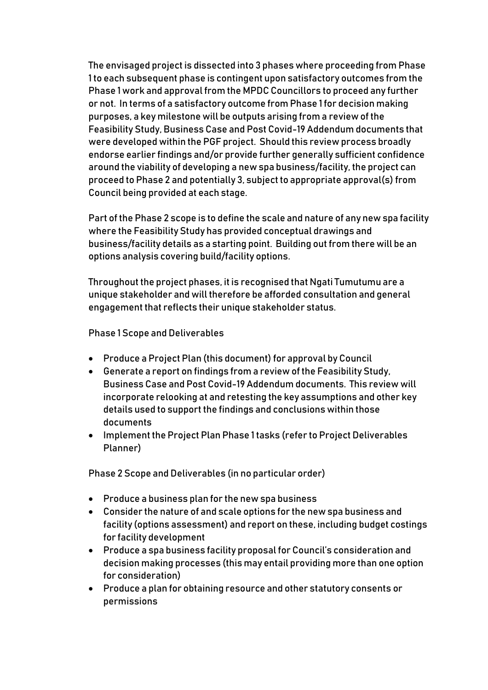The envisaged project is dissected into 3 phases where proceeding from Phase 1 to each subsequent phase is contingent upon satisfactory outcomes from the Phase 1 work and approval from the MPDC Councillors to proceed any further or not. In terms of a satisfactory outcome from Phase 1 for decision making purposes, a key milestone will be outputs arising from a review of the Feasibility Study, Business Case and Post Covid-19 Addendum documents that were developed within the PGF project. Should this review process broadly endorse earlier findings and/or provide further generally sufficient confidence around the viability of developing a new spa business/facility, the project can proceed to Phase 2 and potentially 3, subject to appropriate approval(s) from Council being provided at each stage.

Part of the Phase 2 scope is to define the scale and nature of any new spa facility where the Feasibility Study has provided conceptual drawings and business/facility details as a starting point. Building out from there will be an options analysis covering build/facility options.

Throughout the project phases, it is recognised that Ngati Tumutumu are a unique stakeholder and will therefore be afforded consultation and general engagement that reflects their unique stakeholder status.

Phase 1 Scope and Deliverables

- Produce a Project Plan (this document) for approval by Council
- Generate a report on findings from a review of the Feasibility Study, Business Case and Post Covid-19 Addendum documents. This review will incorporate relooking at and retesting the key assumptions and other key details used to support the findings and conclusions within those documents
- Implement the Project Plan Phase 1 tasks (refer to Project Deliverables Planner)

Phase 2 Scope and Deliverables (in no particular order)

- Produce a business plan for the new spa business
- Consider the nature of and scale options for the new spa business and facility (options assessment) and report on these, including budget costings for facility development
- Produce a spa business facility proposal for Council's consideration and decision making processes (this may entail providing more than one option for consideration)
- Produce a plan for obtaining resource and other statutory consents or permissions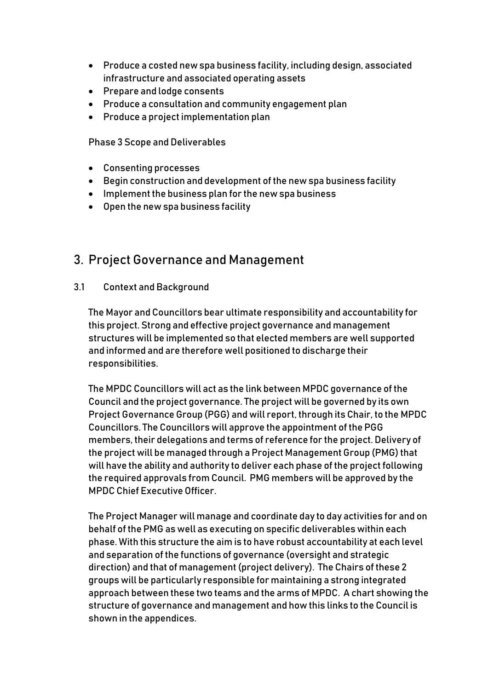- Produce a costed new spa business facility, including design, associated infrastructure and associated operating assets
- Prepare and lodge consents
- Produce a consultation and community engagement plan
- Produce a project implementation plan

Phase 3 Scope and Deliverables

- Consenting processes
- Begin construction and development of the new spa business facility
- Implement the business plan for the new spa business
- Open the new spa business facility

### 3. Project Governance and Management

#### 3.1 Context and Background

The Mayor and Councillors bear ultimate responsibility and accountability for this project. Strong and effective project governance and management structures will be implemented so that elected members are well supported and informed and are therefore well positioned to discharge their responsibilities.

The MPDC Councillors will act as the link between MPDC governance of the Council and the project governance. The project will be governed by its own Project Governance Group (PGG) and will report, through its Chair, to the MPDC Councillors. The Councillors will approve the appointment of the PGG members, their delegations and terms of reference for the project. Delivery of the project will be managed through a Project Management Group (PMG) that will have the ability and authority to deliver each phase of the project following the required approvals from Council. PMG members will be approved by the MPDC Chief Executive Officer.

The Project Manager will manage and coordinate day to day activities for and on behalf of the PMG as well as executing on specific deliverables within each phase. With this structure the aim is to have robust accountability at each level and separation of the functions of governance (oversight and strategic direction) and that of management (project delivery). The Chairs of these 2 groups will be particularly responsible for maintaining a strong integrated approach between these two teams and the arms of MPDC. A chart showing the structure of governance and management and how this links to the Council is shown in the appendices.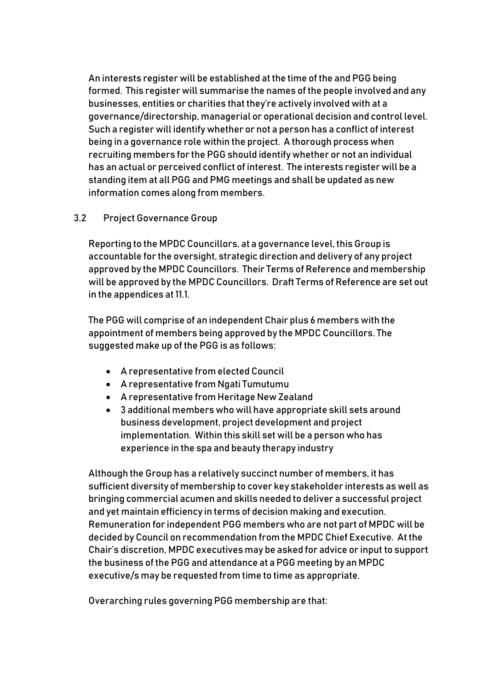An interests register will be established at the time of the and PGG being formed. This register will summarise the names of the people involved and any businesses, entities or charities that they're actively involved with at a governance/directorship, managerial or operational decision and control level. Such a register will identify whether or not a person has a conflict of interest being in a governance role within the project. A thorough process when recruiting members for the PGG should identify whether or not an individual has an actual or perceived conflict of interest. The interests register will be a standing item at all PGG and PMG meetings and shall be updated as new information comes along from members.

#### 3.2 Project Governance Group

Reporting to the MPDC Councillors, at a governance level, this Group is accountable for the oversight, strategic direction and delivery of any project approved by the MPDC Councillors. Their Terms of Reference and membership will be approved by the MPDC Councillors. Draft Terms of Reference are set out in the appendices at 11.1.

The PGG will comprise of an independent Chair plus 6 members with the appointment of members being approved by the MPDC Councillors. The suggested make up of the PGG is as follows:

- A representative from elected Council
- A representative from Ngati Tumutumu
- A representative from Heritage New Zealand
- 3 additional members who will have appropriate skill sets around business development, project development and project implementation. Within this skill set will be a person who has experience in the spa and beauty therapy industry

Although the Group has a relatively succinct number of members, it has sufficient diversity of membership to cover key stakeholder interests as well as bringing commercial acumen and skills needed to deliver a successful project and yet maintain efficiency in terms of decision making and execution. Remuneration for independent PGG members who are not part of MPDC will be decided by Council on recommendation from the MPDC Chief Executive. At the Chair's discretion, MPDC executives may be asked for advice or input to support the business of the PGG and attendance at a PGG meeting by an MPDC executive/s may be requested from time to time as appropriate.

Overarching rules governing PGG membership are that: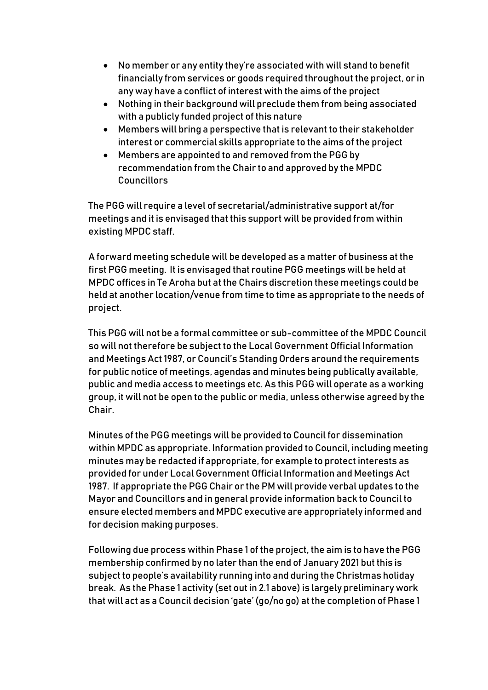- No member or any entity they're associated with will stand to benefit financially from services or goods required throughout the project, or in any way have a conflict of interest with the aims of the project
- Nothing in their background will preclude them from being associated with a publicly funded project of this nature
- Members will bring a perspective that is relevant to their stakeholder interest or commercial skills appropriate to the aims of the project
- Members are appointed to and removed from the PGG by recommendation from the Chair to and approved by the MPDC Councillors

The PGG will require a level of secretarial/administrative support at/for meetings and it is envisaged that this support will be provided from within existing MPDC staff.

A forward meeting schedule will be developed as a matter of business at the first PGG meeting. It is envisaged that routine PGG meetings will be held at MPDC offices in Te Aroha but at the Chairs discretion these meetings could be held at another location/venue from time to time as appropriate to the needs of project.

This PGG will not be a formal committee or sub-committee of the MPDC Council so will not therefore be subject to the Local Government Official Information and Meetings Act 1987, or Council's Standing Orders around the requirements for public notice of meetings, agendas and minutes being publically available, public and media access to meetings etc. As this PGG will operate as a working group, it will not be open to the public or media, unless otherwise agreed by the Chair.

Minutes of the PGG meetings will be provided to Council for dissemination within MPDC as appropriate. Information provided to Council, including meeting minutes may be redacted if appropriate, for example to protect interests as provided for under Local Government Official Information and Meetings Act 1987. If appropriate the PGG Chair or the PM will provide verbal updates to the Mayor and Councillors and in general provide information back to Council to ensure elected members and MPDC executive are appropriately informed and for decision making purposes.

Following due process within Phase 1 of the project, the aim is to have the PGG membership confirmed by no later than the end of January 2021 but this is subject to people's availability running into and during the Christmas holiday break. As the Phase 1 activity (set out in 2.1 above) is largely preliminary work that will act as a Council decision 'gate' (go/no go) at the completion of Phase 1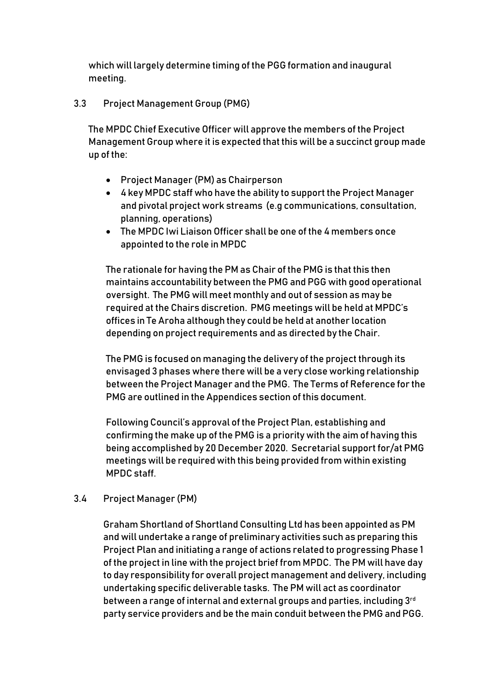which will largely determine timing of the PGG formation and inaugural meeting.

3.3 Project Management Group (PMG)

The MPDC Chief Executive Officer will approve the members of the Project Management Group where it is expected that this will be a succinct group made up of the:

- Project Manager (PM) as Chairperson
- 4 key MPDC staff who have the ability to support the Project Manager and pivotal project work streams (e.g communications, consultation, planning, operations)
- The MPDC Iwi Liaison Officer shall be one of the 4 members once appointed to the role in MPDC

The rationale for having the PM as Chair of the PMG is that this then maintains accountability between the PMG and PGG with good operational oversight. The PMG will meet monthly and out of session as may be required at the Chairs discretion. PMG meetings will be held at MPDC's offices in Te Aroha although they could be held at another location depending on project requirements and as directed by the Chair.

The PMG is focused on managing the delivery of the project through its envisaged 3 phases where there will be a very close working relationship between the Project Manager and the PMG. The Terms of Reference for the PMG are outlined in the Appendices section of this document.

Following Council's approval of the Project Plan, establishing and confirming the make up of the PMG is a priority with the aim of having this being accomplished by 20 December 2020. Secretarial support for/at PMG meetings will be required with this being provided from within existing MPDC staff.

#### 3.4 Project Manager (PM)

Graham Shortland of Shortland Consulting Ltd has been appointed as PM and will undertake a range of preliminary activities such as preparing this Project Plan and initiating a range of actions related to progressing Phase 1 of the project in line with the project brief from MPDC. The PM will have day to day responsibility for overall project management and delivery, including undertaking specific deliverable tasks. The PM will act as coordinator between a range of internal and external groups and parties, including 3rd party service providers and be the main conduit between the PMG and PGG.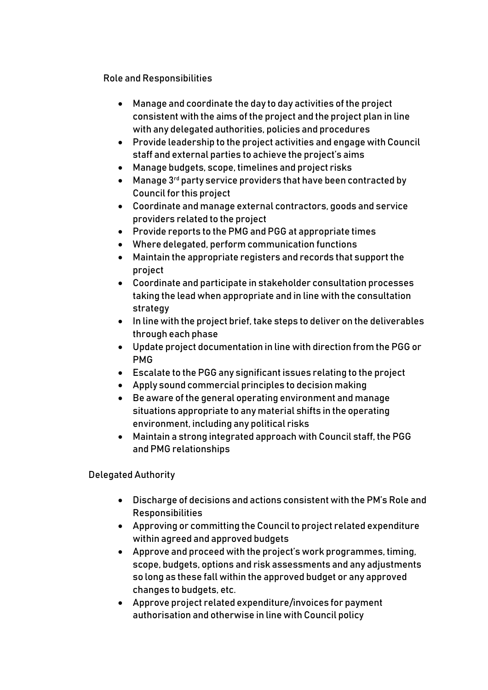Role and Responsibilities

- Manage and coordinate the day to day activities of the project consistent with the aims of the project and the project plan in line with any delegated authorities, policies and procedures
- Provide leadership to the project activities and engage with Council staff and external parties to achieve the project's aims
- Manage budgets, scope, timelines and project risks
- $\bullet$  Manage 3<sup>rd</sup> party service providers that have been contracted by Council for this project
- Coordinate and manage external contractors, goods and service providers related to the project
- Provide reports to the PMG and PGG at appropriate times
- Where delegated, perform communication functions
- Maintain the appropriate registers and records that support the project
- Coordinate and participate in stakeholder consultation processes taking the lead when appropriate and in line with the consultation strategy
- In line with the project brief, take steps to deliver on the deliverables through each phase
- Update project documentation in line with direction from the PGG or PMG
- Escalate to the PGG any significant issues relating to the project
- Apply sound commercial principles to decision making
- Be aware of the general operating environment and manage situations appropriate to any material shifts in the operating environment, including any political risks
- Maintain a strong integrated approach with Council staff, the PGG and PMG relationships

Delegated Authority

- Discharge of decisions and actions consistent with the PM's Role and Responsibilities
- Approving or committing the Council to project related expenditure within agreed and approved budgets
- Approve and proceed with the project's work programmes, timing, scope, budgets, options and risk assessments and any adjustments so long as these fall within the approved budget or any approved changes to budgets, etc.
- Approve project related expenditure/invoices for payment authorisation and otherwise in line with Council policy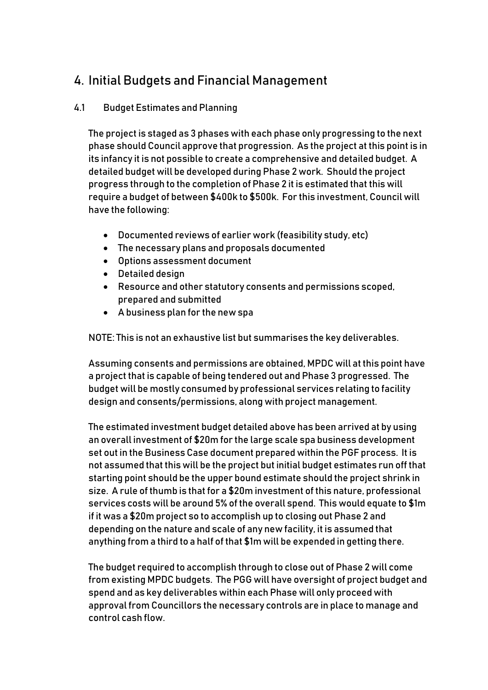# 4. Initial Budgets and Financial Management

#### 4.1 Budget Estimates and Planning

The project is staged as 3 phases with each phase only progressing to the next phase should Council approve that progression. As the project at this point is in its infancy it is not possible to create a comprehensive and detailed budget. A detailed budget will be developed during Phase 2 work. Should the project progress through to the completion of Phase 2 it is estimated that this will require a budget of between \$400k to \$500k. For this investment, Council will have the following:

- Documented reviews of earlier work (feasibility study, etc)
- The necessary plans and proposals documented
- Options assessment document
- Detailed design
- Resource and other statutory consents and permissions scoped, prepared and submitted
- A business plan for the new spa

NOTE: This is not an exhaustive list but summarises the key deliverables.

Assuming consents and permissions are obtained, MPDC will at this point have a project that is capable of being tendered out and Phase 3 progressed. The budget will be mostly consumed by professional services relating to facility design and consents/permissions, along with project management.

The estimated investment budget detailed above has been arrived at by using an overall investment of \$20m for the large scale spa business development set out in the Business Case document prepared within the PGF process. It is not assumed that this will be the project but initial budget estimates run off that starting point should be the upper bound estimate should the project shrink in size. A rule of thumb is that for a \$20m investment of this nature, professional services costs will be around 5% of the overall spend. This would equate to \$1m if it was a \$20m project so to accomplish up to closing out Phase 2 and depending on the nature and scale of any new facility, it is assumed that anything from a third to a half of that \$1m will be expended in getting there.

The budget required to accomplish through to close out of Phase 2 will come from existing MPDC budgets. The PGG will have oversight of project budget and spend and as key deliverables within each Phase will only proceed with approval from Councillors the necessary controls are in place to manage and control cash flow.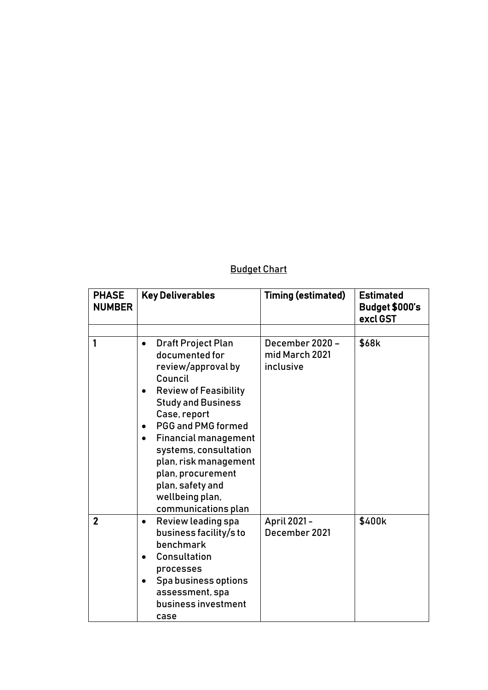### Budget Chart

| <b>PHASE</b><br><b>NUMBER</b> | <b>Key Deliverables</b>                                                                                                                                                                                                                                                                                                                                                                                        | <b>Timing (estimated)</b>                      | <b>Estimated</b><br>Budget \$000's<br>excl GST |
|-------------------------------|----------------------------------------------------------------------------------------------------------------------------------------------------------------------------------------------------------------------------------------------------------------------------------------------------------------------------------------------------------------------------------------------------------------|------------------------------------------------|------------------------------------------------|
|                               |                                                                                                                                                                                                                                                                                                                                                                                                                |                                                |                                                |
| 1                             | <b>Draft Project Plan</b><br>$\bullet$<br>documented for<br>review/approval by<br>Council<br><b>Review of Feasibility</b><br>$\bullet$<br><b>Study and Business</b><br>Case, report<br><b>PGG and PMG formed</b><br>$\bullet$<br><b>Financial management</b><br>$\bullet$<br>systems, consultation<br>plan, risk management<br>plan, procurement<br>plan, safety and<br>wellbeing plan,<br>communications plan | December 2020 -<br>mid March 2021<br>inclusive | \$68k                                          |
| $\overline{2}$                | Review leading spa<br>$\bullet$<br>business facility/s to<br>benchmark<br>Consultation<br>$\bullet$<br>processes<br>Spa business options<br>$\bullet$<br>assessment, spa<br>business investment<br>case                                                                                                                                                                                                        | April 2021-<br>December 2021                   | \$400k                                         |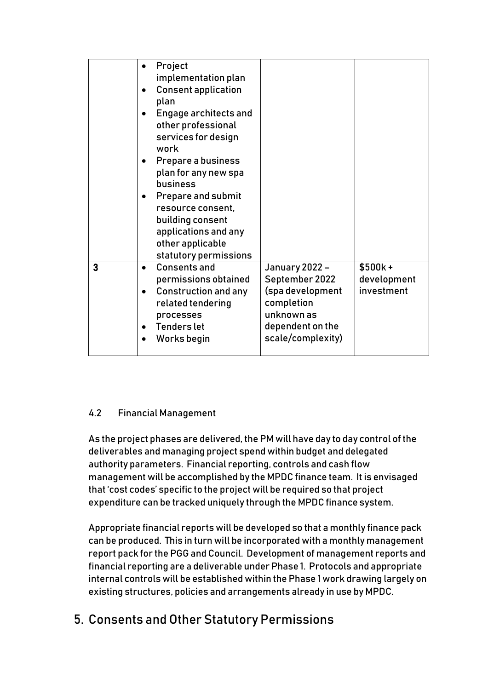|   | Project<br>implementation plan<br><b>Consent application</b><br>plan<br><b>Engage architects and</b><br>other professional<br>services for design<br>work<br>Prepare a business<br>$\bullet$<br>plan for any new spa<br>business<br><b>Prepare and submit</b><br>resource consent.<br>building consent<br>applications and any<br>other applicable<br>statutory permissions |                                                                                                                           |                                        |
|---|-----------------------------------------------------------------------------------------------------------------------------------------------------------------------------------------------------------------------------------------------------------------------------------------------------------------------------------------------------------------------------|---------------------------------------------------------------------------------------------------------------------------|----------------------------------------|
| 3 | <b>Consents and</b><br>permissions obtained<br><b>Construction and any</b><br>related tendering<br>processes<br><b>Tenders let</b><br>Works begin                                                                                                                                                                                                                           | January 2022 -<br>September 2022<br>(spa development<br>completion<br>unknown as<br>dependent on the<br>scale/complexity) | $$500k +$<br>development<br>investment |

#### 4.2 Financial Management

As the project phases are delivered, the PM will have day to day control of the deliverables and managing project spend within budget and delegated authority parameters. Financial reporting, controls and cash flow management will be accomplished by the MPDC finance team. It is envisaged that 'cost codes' specific to the project will be required so that project expenditure can be tracked uniquely through the MPDC finance system.

Appropriate financial reports will be developed so that a monthly finance pack can be produced. This in turn will be incorporated with a monthly management report pack for the PGG and Council. Development of management reports and financial reporting are a deliverable under Phase 1. Protocols and appropriate internal controls will be established within the Phase 1 work drawing largely on existing structures, policies and arrangements already in use by MPDC.

# 5. Consents and Other Statutory Permissions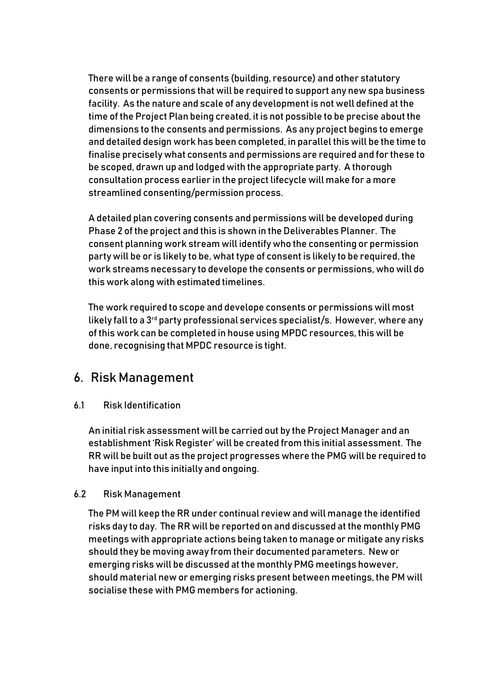There will be a range of consents (building, resource) and other statutory consents or permissions that will be required to support any new spa business facility. As the nature and scale of any development is not well defined at the time of the Project Plan being created, it is not possible to be precise about the dimensions to the consents and permissions. As any project begins to emerge and detailed design work has been completed, in parallel this will be the time to finalise precisely what consents and permissions are required and for these to be scoped, drawn up and lodged with the appropriate party. A thorough consultation process earlier in the project lifecycle will make for a more streamlined consenting/permission process.

A detailed plan covering consents and permissions will be developed during Phase 2 of the project and this is shown in the Deliverables Planner. The consent planning work stream will identify who the consenting or permission party will be or is likely to be, what type of consent is likely to be required, the work streams necessary to develope the consents or permissions, who will do this work along with estimated timelines.

The work required to scope and develope consents or permissions will most likely fall to a 3<sup>rd</sup> party professional services specialist/s. However, where any of this work can be completed in house using MPDC resources, this will be done, recognising that MPDC resource is tight.

### 6. Risk Management

#### 6.1 Risk Identification

An initial risk assessment will be carried out by the Project Manager and an establishment 'Risk Register' will be created from this initial assessment. The RR will be built out as the project progresses where the PMG will be required to have input into this initially and ongoing.

#### 6.2 Risk Management

The PM will keep the RR under continual review and will manage the identified risks day to day. The RR will be reported on and discussed at the monthly PMG meetings with appropriate actions being taken to manage or mitigate any risks should they be moving away from their documented parameters. New or emerging risks will be discussed at the monthly PMG meetings however, should material new or emerging risks present between meetings, the PM will socialise these with PMG members for actioning.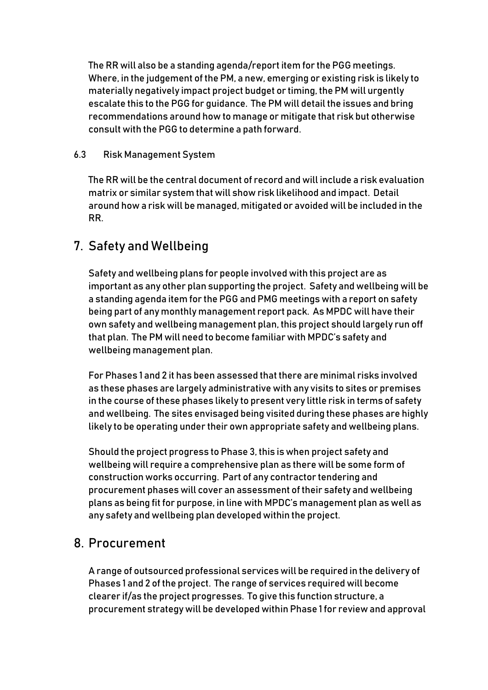The RR will also be a standing agenda/report item for the PGG meetings. Where, in the judgement of the PM, a new, emerging or existing risk is likely to materially negatively impact project budget or timing, the PM will urgently escalate this to the PGG for guidance. The PM will detail the issues and bring recommendations around how to manage or mitigate that risk but otherwise consult with the PGG to determine a path forward.

#### 6.3 Risk Management System

The RR will be the central document of record and will include a risk evaluation matrix or similar system that will show risk likelihood and impact. Detail around how a risk will be managed, mitigated or avoided will be included in the RR.

### 7. Safety and Wellbeing

Safety and wellbeing plans for people involved with this project are as important as any other plan supporting the project. Safety and wellbeing will be a standing agenda item for the PGG and PMG meetings with a report on safety being part of any monthly management report pack. As MPDC will have their own safety and wellbeing management plan, this project should largely run off that plan. The PM will need to become familiar with MPDC's safety and wellbeing management plan.

For Phases 1 and 2 it has been assessed that there are minimal risks involved as these phases are largely administrative with any visits to sites or premises in the course of these phases likely to present very little risk in terms of safety and wellbeing. The sites envisaged being visited during these phases are highly likely to be operating under their own appropriate safety and wellbeing plans.

Should the project progress to Phase 3, this is when project safety and wellbeing will require a comprehensive plan as there will be some form of construction works occurring. Part of any contractor tendering and procurement phases will cover an assessment of their safety and wellbeing plans as being fit for purpose, in line with MPDC's management plan as well as any safety and wellbeing plan developed within the project.

### 8. Procurement

A range of outsourced professional services will be required in the delivery of Phases 1 and 2 of the project. The range of services required will become clearer if/as the project progresses. To give this function structure, a procurement strategy will be developed within Phase 1 for review and approval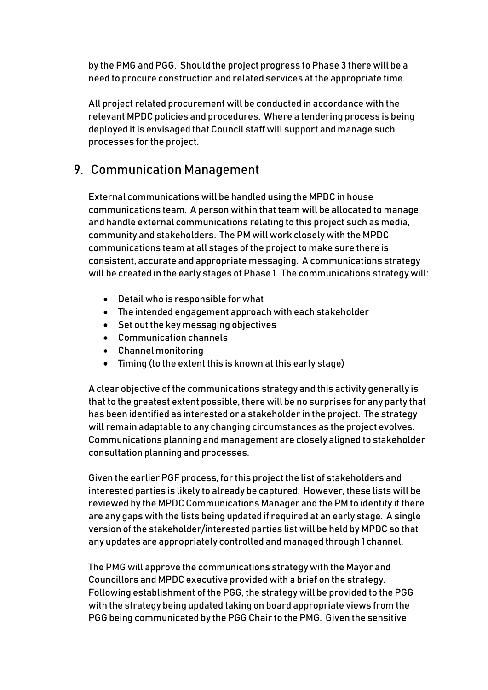by the PMG and PGG. Should the project progress to Phase 3 there will be a need to procure construction and related services at the appropriate time.

All project related procurement will be conducted in accordance with the relevant MPDC policies and procedures. Where a tendering process is being deployed it is envisaged that Council staff will support and manage such processes for the project.

## 9. Communication Management

External communications will be handled using the MPDC in house communications team. A person within that team will be allocated to manage and handle external communications relating to this project such as media, community and stakeholders. The PM will work closely with the MPDC communications team at all stages of the project to make sure there is consistent, accurate and appropriate messaging. A communications strategy will be created in the early stages of Phase 1. The communications strategy will:

- Detail who is responsible for what
- The intended engagement approach with each stakeholder
- Set out the key messaging objectives
- Communication channels
- Channel monitoring
- Timing (to the extent this is known at this early stage)

A clear objective of the communications strategy and this activity generally is that to the greatest extent possible, there will be no surprises for any party that has been identified as interested or a stakeholder in the project. The strategy will remain adaptable to any changing circumstances as the project evolves. Communications planning and management are closely aligned to stakeholder consultation planning and processes.

Given the earlier PGF process, for this project the list of stakeholders and interested parties is likely to already be captured. However, these lists will be reviewed by the MPDC Communications Manager and the PM to identify if there are any gaps with the lists being updated if required at an early stage. A single version of the stakeholder/interested parties list will be held by MPDC so that any updates are appropriately controlled and managed through 1 channel.

The PMG will approve the communications strategy with the Mayor and Councillors and MPDC executive provided with a brief on the strategy. Following establishment of the PGG, the strategy will be provided to the PGG with the strategy being updated taking on board appropriate views from the PGG being communicated by the PGG Chair to the PMG. Given the sensitive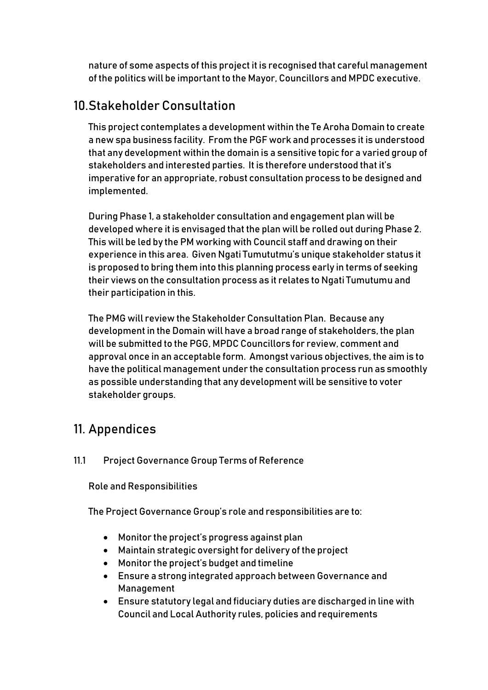nature of some aspects of this project it is recognised that careful management of the politics will be important to the Mayor, Councillors and MPDC executive.

# 10.Stakeholder Consultation

This project contemplates a development within the Te Aroha Domain to create a new spa business facility. From the PGF work and processes it is understood that any development within the domain is a sensitive topic for a varied group of stakeholders and interested parties. It is therefore understood that it's imperative for an appropriate, robust consultation process to be designed and implemented.

During Phase 1, a stakeholder consultation and engagement plan will be developed where it is envisaged that the plan will be rolled out during Phase 2. This will be led by the PM working with Council staff and drawing on their experience in this area. Given Ngati Tumututmu's unique stakeholder status it is proposed to bring them into this planning process early in terms of seeking their views on the consultation process as it relates to Ngati Tumutumu and their participation in this.

The PMG will review the Stakeholder Consultation Plan. Because any development in the Domain will have a broad range of stakeholders, the plan will be submitted to the PGG, MPDC Councillors for review, comment and approval once in an acceptable form. Amongst various objectives, the aim is to have the political management under the consultation process run as smoothly as possible understanding that any development will be sensitive to voter stakeholder groups.

### 11. Appendices

#### 11.1 Project Governance Group Terms of Reference

Role and Responsibilities

The Project Governance Group's role and responsibilities are to:

- Monitor the project's progress against plan
- Maintain strategic oversight for delivery of the project
- Monitor the project's budget and timeline
- Ensure a strong integrated approach between Governance and Management
- Ensure statutory legal and fiduciary duties are discharged in line with Council and Local Authority rules, policies and requirements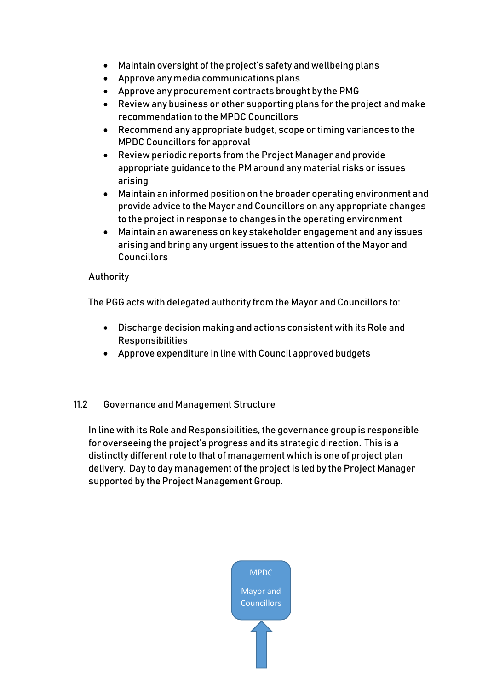- Maintain oversight of the project's safety and wellbeing plans
- Approve any media communications plans
- Approve any procurement contracts brought by the PMG
- Review any business or other supporting plans for the project and make recommendation to the MPDC Councillors
- Recommend any appropriate budget, scope or timing variances to the MPDC Councillors for approval
- Review periodic reports from the Project Manager and provide appropriate guidance to the PM around any material risks or issues arising
- Maintain an informed position on the broader operating environment and provide advice to the Mayor and Councillors on any appropriate changes to the project in response to changes in the operating environment
- Maintain an awareness on key stakeholder engagement and any issues arising and bring any urgent issues to the attention of the Mayor and **Councillors**

#### Authority

The PGG acts with delegated authority from the Mayor and Councillors to:

- Discharge decision making and actions consistent with its Role and Responsibilities
- Approve expenditure in line with Council approved budgets

#### 11.2 Governance and Management Structure

In line with its Role and Responsibilities, the governance group is responsible for overseeing the project's progress and its strategic direction. This is a distinctly different role to that of management which is one of project plan delivery. Day to day management of the project is led by the Project Manager supported by the Project Management Group.

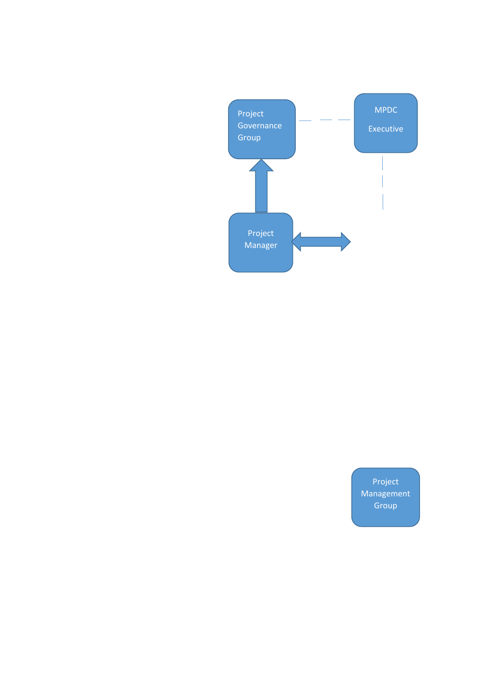

Project Management Group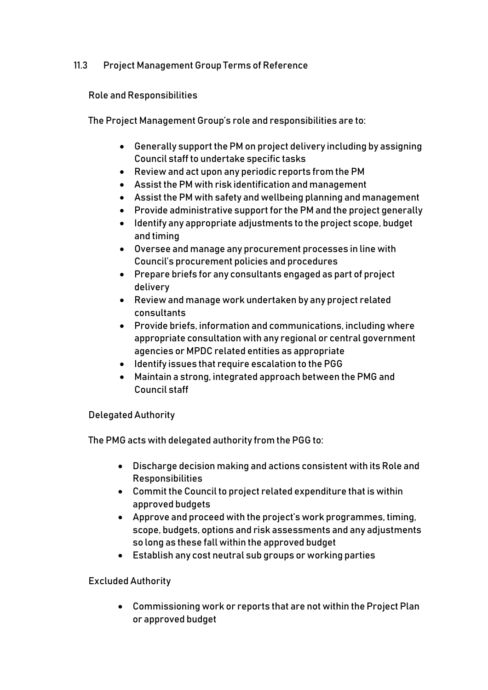#### 11.3 Project Management Group Terms of Reference

Role and Responsibilities

The Project Management Group's role and responsibilities are to:

- Generally support the PM on project delivery including by assigning Council staff to undertake specific tasks
- Review and act upon any periodic reports from the PM
- Assist the PM with risk identification and management
- Assist the PM with safety and wellbeing planning and management
- Provide administrative support for the PM and the project generally
- Identify any appropriate adjustments to the project scope, budget and timing
- Oversee and manage any procurement processes in line with Council's procurement policies and procedures
- Prepare briefs for any consultants engaged as part of project delivery
- Review and manage work undertaken by any project related consultants
- Provide briefs, information and communications, including where appropriate consultation with any regional or central government agencies or MPDC related entities as appropriate
- $\bullet$  Identify issues that require escalation to the PGG
- Maintain a strong, integrated approach between the PMG and Council staff

#### Delegated Authority

The PMG acts with delegated authority from the PGG to:

- Discharge decision making and actions consistent with its Role and Responsibilities
- Commit the Council to project related expenditure that is within approved budgets
- Approve and proceed with the project's work programmes, timing, scope, budgets, options and risk assessments and any adjustments so long as these fall within the approved budget
- Establish any cost neutral sub groups or working parties

#### Excluded Authority

 Commissioning work or reports that are not within the Project Plan or approved budget